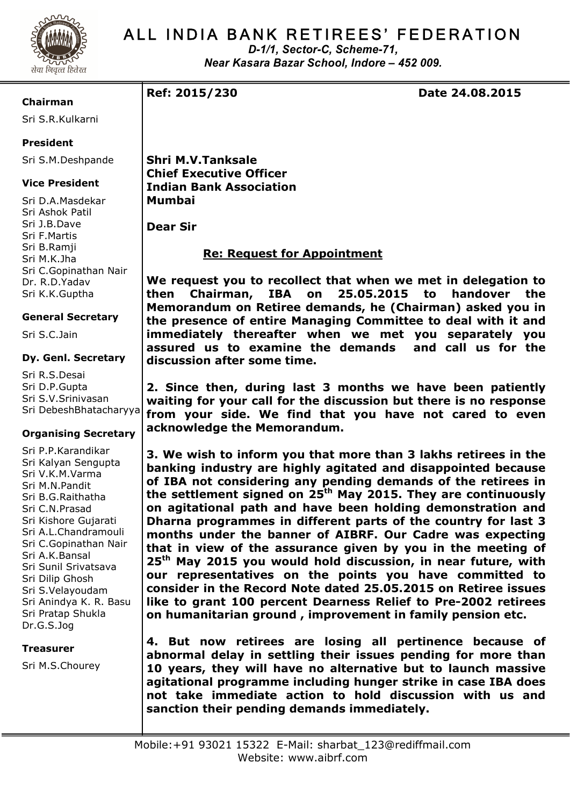

# ALL INDIA BANK RETIREES' FEDERATION

*D-1/1, Sector-C, Scheme-71, Near Kasara Bazar School, Indore – 452 009.*

**Chairman**

Sri S.R.Kulkarni

## **President**

Sri S.M.Deshpande

### **Vice President**

Sri D.A.Masdekar Sri Ashok Patil Sri J.B.Dave Sri F.Martis Sri B.Ramji Sri M.K.Jha Sri C.Gopinathan Nair Dr. R.D.Yadav Sri K.K.Guptha

### **General Secretary**

Sri S.C.Jain

#### **Dy. Genl. Secretary**

Sri R.S.Desai Sri D.P.Gupta Sri S.V.Srinivasan Sri DebeshBhatacharyya

### **Organising Secretary**

Sri P.P.Karandikar Sri Kalyan Sengupta Sri V.K.M.Varma Sri M.N.Pandit Sri B.G.Raithatha Sri C.N.Prasad Sri Kishore Gujarati Sri A.L.Chandramouli Sri C.Gopinathan Nair Sri A.K.Bansal Sri Sunil Srivatsava Sri Dilip Ghosh Sri S.Velayoudam Sri Anindya K. R. Basu Sri Pratap Shukla Dr.G.S.Jog

#### **Treasurer**

Sri M.S.Chourey

**Ref: 2015/230 Date 24.08.2015**

**Shri M.V.Tanksale Chief Executive Officer Indian Bank Association Mumbai**

**Dear Sir**

## **Re: Request for Appointment**

**We request you to recollect that when we met in delegation to then Chairman, IBA on 25.05.2015 to handover the Memorandum on Retiree demands, he (Chairman) asked you in the presence of entire Managing Committee to deal with it and immediately thereafter when we met you separately you assured us to examine the demands and call us for the discussion after some time.**

**2. Since then, during last 3 months we have been patiently waiting for your call for the discussion but there is no response from your side. We find that you have not cared to even acknowledge the Memorandum.**

**3. We wish to inform you that more than 3 lakhs retirees in the banking industry are highly agitated and disappointed because of IBA not considering any pending demands of the retirees in the settlement signed on 25th May 2015. They are continuously on agitational path and have been holding demonstration and Dharna programmes in different parts of the country for last 3 months under the banner of AIBRF. Our Cadre was expecting that in view of the assurance given by you in the meeting of 25th May 2015 you would hold discussion, in near future, with our representatives on the points you have committed to consider in the Record Note dated 25.05.2015 on Retiree issues like to grant 100 percent Dearness Relief to Pre-2002 retirees on humanitarian ground , improvement in family pension etc.**

**4. But now retirees are losing all pertinence because of abnormal delay in settling their issues pending for more than 10 years, they will have no alternative but to launch massive agitational programme including hunger strike in case IBA does not take immediate action to hold discussion with us and sanction their pending demands immediately.**